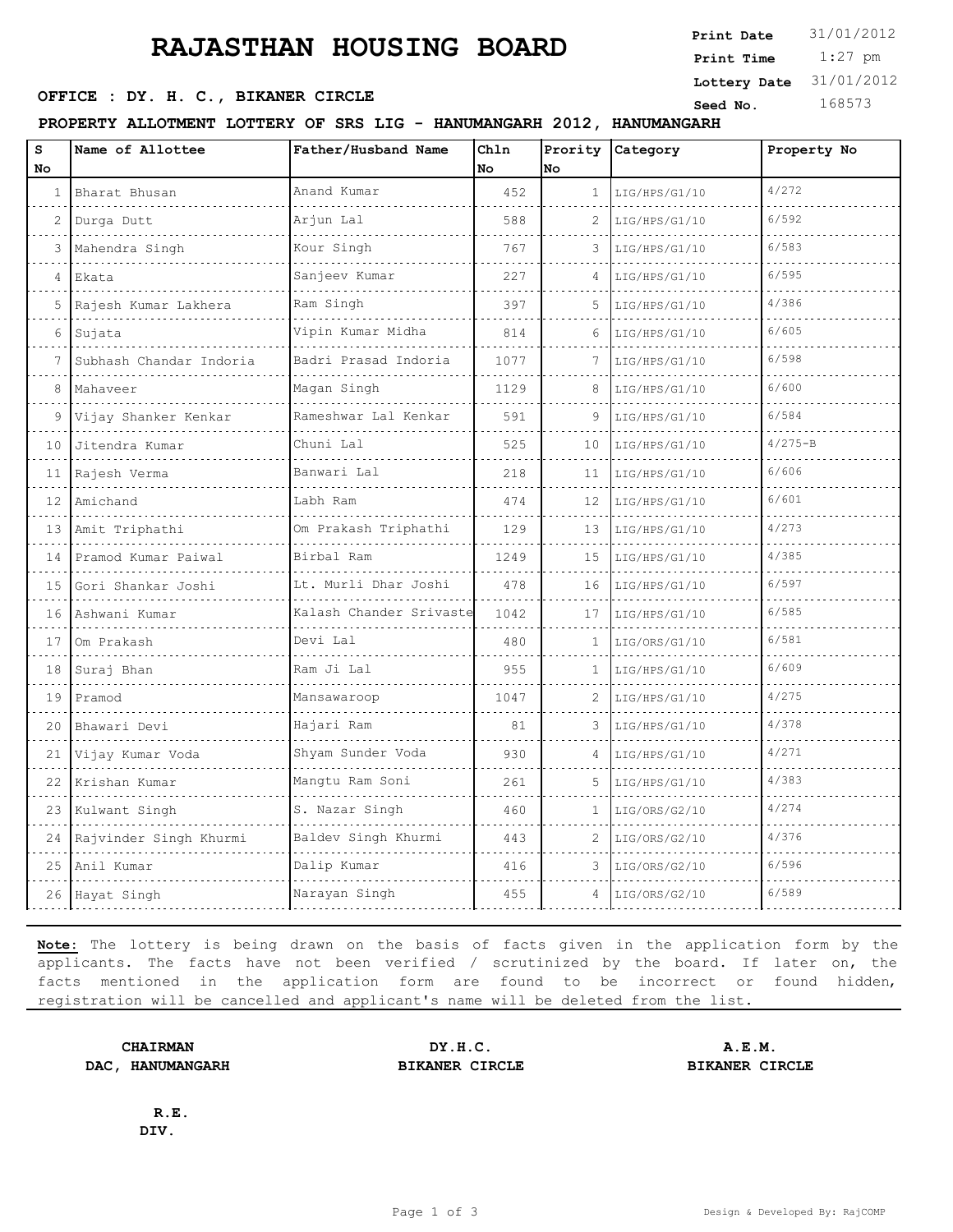## **RAJASTHAN HOUSING BOARD**

**SEED OFFICE : DY. H. C., BIKANER CIRCLE Seed No.** 168573

**PROPERTY ALLOTMENT LOTTERY OF SRS LIG - HANUMANGARH 2012, HANUMANGARH**

| S<br>No         | Name of Allottee        | Father/Husband Name     | Chln<br>No | No              | Prority Category | Property No |
|-----------------|-------------------------|-------------------------|------------|-----------------|------------------|-------------|
| $\mathbf{1}$    | Bharat Bhusan           | Anand Kumar             | 452        | $\mathbf{1}$    | LIG/HPS/G1/10    | 4/272       |
| $\overline{2}$  | Durga Dutt              | Arjun Lal               | 588        | $\overline{2}$  | LIG/HPS/G1/10    | 6/592       |
| 3               | Mahendra Singh          | Kour Singh              | 767        | 3               | LIG/HPS/G1/10    | 6/583       |
| $\overline{4}$  | Ekata                   | Sanjeev Kumar           | 227        | 4               | LIG/HPS/G1/10    | 6/595       |
| 5               | Rajesh Kumar Lakhera    | Ram Singh               | 397        | 5               | LIG/HPS/G1/10    | 4/386       |
| 6               | Sujata                  | Vipin Kumar Midha       | 814        | 6               | LIG/HPS/G1/10    | 6/605       |
|                 | Subhash Chandar Indoria | Badri Prasad Indoria    | 1077       |                 | LIG/HPS/G1/10    | 6/598       |
| 8               | Mahaveer                | Magan Singh             | 1129       | 8               | LIG/HPS/G1/10    | 6/600       |
| 9               | Vijay Shanker Kenkar    | Rameshwar Lal Kenkar    | 591        | 9               | LIG/HPS/G1/10    | 6/584       |
| 10 <sup>°</sup> | Jitendra Kumar          | Chuni Lal               | 525        | 10              | LIG/HPS/G1/10    | $4/275 - B$ |
| 11              | Rajesh Verma            | Banwari Lal             | 218        | 11              | LIG/HPS/G1/10    | 6/606       |
| 12 <sup>7</sup> | Amichand                | Labh Ram                | 474        | 12              | LIG/HPS/G1/10    | 6/601       |
|                 | 13 Amit Triphathi       | Om Prakash Triphathi    | 129        | 13 <sup>7</sup> | LIG/HPS/G1/10    | 4/273       |
| 14              | Pramod Kumar Paiwal     | Birbal Ram              | 1249       | 15              | LIG/HPS/G1/10    | 4/385       |
| 15              | Gori Shankar Joshi      | Lt. Murli Dhar Joshi    | 478        | 16              | LIG/HPS/G1/10    | 6/597       |
| 16              | Ashwani Kumar           | Kalash Chander Srivaste | 1042       | 17              | LIG/HPS/G1/10    | 6/585       |
| 17              | Om Prakash              | Devi Lal                | 480        | $\mathbf{1}$    | LIG/ORS/G1/10    | 6/581       |
| 18              | Suraj Bhan              | Ram Ji Lal              | 955        | 1               | LIG/HPS/G1/10    | 6/609       |
| 19              | Pramod                  | Mansawaroop             | 1047       | 2               | LIG/HPS/G1/10    | 4/275       |
| 20              | Bhawari Devi            | Hajari Ram              | 81         | 3               | LIG/HPS/G1/10    | 4/378       |
| 21              | Vijay Kumar Voda        | Shyam Sunder Voda       | 930        | 4               | LIG/HPS/G1/10    | 4/271       |
| 22              | Krishan Kumar           | Mangtu Ram Soni         | 261        | 5               | LIG/HPS/G1/10    | 4/383       |
| 23              | Kulwant Singh           | S. Nazar Singh          | 460        | $\mathbf{1}$    | LIG/ORS/G2/10    | 4/274       |
| 24              | Rajvinder Singh Khurmi  | Baldev Singh Khurmi     | 443        | 2               | LIG/ORS/G2/10    | 4/376       |
| 25              | Anil Kumar              | Dalip Kumar             | 416        | 3               | LIG/ORS/G2/10    | 6/596       |
|                 | 26 Hayat Singh          | Narayan Singh           | 455        | $\overline{4}$  | LIG/ORS/G2/10    | 6/589       |

**Note:** The lottery is being drawn on the basis of facts given in the application form by the applicants. The facts have not been verified / scrutinized by the board. If later on, the facts mentioned in the application form are found to be incorrect or found hidden, registration will be cancelled and applicant's name will be deleted from the list.

**DAC, HANUMANGARH BIKANER CIRCLE BIKANER CIRCLE**

**DIV.**

**CHAIRMAN DY.H.C. A.E.M.**

**R.E.**

 1:27 pm **Print Date**  $31/01/2012$ **Print Time Lottery Date** 31/01/2012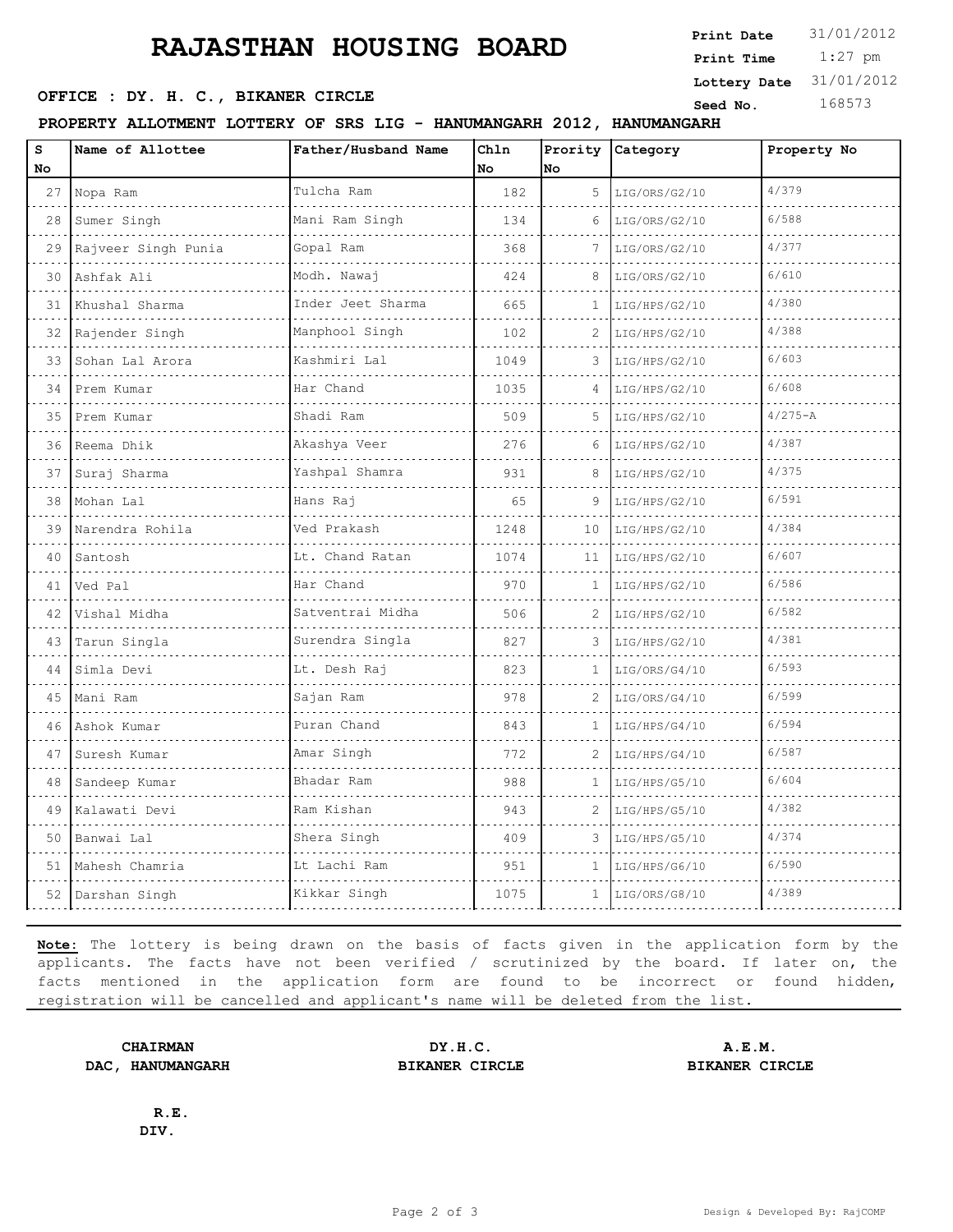## **RAJASTHAN HOUSING BOARD**

**OFFICE : DY. H. C., BIKANER CIRCLE** Seed No. 168573

**PROPERTY ALLOTMENT LOTTERY OF SRS LIG - HANUMANGARH 2012, HANUMANGARH**

| S<br>No | Name of Allottee    | Father/Husband Name               | Chln<br>No | Prority<br>No | Category      | Property No |
|---------|---------------------|-----------------------------------|------------|---------------|---------------|-------------|
| 27      | Nopa Ram            | Tulcha Ram                        | 182        | 5             | LIG/ORS/G2/10 | 4/379       |
| 28      | Sumer Singh         | Mani Ram Singh                    | 134        | 6             | LIG/ORS/G2/10 | 6/588       |
| 29      | Rajveer Singh Punia | Gopal Ram                         | 368        |               | LIG/ORS/G2/10 | 4/377       |
| 30      | Ashfak Ali          | Modh. Nawaj                       | 424        | 8             | LIG/ORS/G2/10 | 6/610       |
| 31      | Khushal Sharma      | Inder Jeet Sharma                 | 665        | $\mathbf{1}$  | LIG/HPS/G2/10 | 4/380       |
| 32      | Rajender Singh      | Manphool Singh                    | 102        | 2             | LIG/HPS/G2/10 | 4/388       |
| 33      | Sohan Lal Arora     | Kashmiri Lal                      | 1049       | 3             | LIG/HPS/G2/10 | 6/603       |
| 34      | Prem Kumar          | Har Chand                         | 1035       | 4             | LIG/HPS/G2/10 | 6/608       |
| 35      | Prem Kumar          | Shadi Ram                         | 509        | 5             | LIG/HPS/G2/10 | $4/275 - A$ |
| 36      | Reema Dhik          | Akashya Veer                      | 276        | 6             | LIG/HPS/G2/10 | 4/387       |
| 37      | Suraj Sharma        | Yashpal Shamra                    | 931        | 8             | LIG/HPS/G2/10 | 4/375       |
| 38      | Mohan Lal           | Hans Raj                          | 65         | 9             | LIG/HPS/G2/10 | 6/591       |
| 39      | Narendra Rohila     | Ved Prakash<br>and a state of the | 1248       | 10            | LIG/HPS/G2/10 | 4/384       |
| 40      | Santosh             | Lt. Chand Ratan                   | 1074       | 11            | LIG/HPS/G2/10 | 6/607       |
| 41      | Ved Pal             | Har Chand                         | 970        | 1             | LIG/HPS/G2/10 | 6/586       |
| 42      | Vishal Midha        | Satventrai Midha                  | 506        | 2             | LIG/HPS/G2/10 | 6/582       |
| 43      | Tarun Singla        | Surendra Singla                   | 827        | 3             | LIG/HPS/G2/10 | 4/381       |
| 44      | Simla Devi          | Lt. Desh Raj                      | 823        | 1.            | LIG/ORS/G4/10 | 6/593       |
| 45      | Mani Ram            | Sajan Ram                         | 978        | 2             | LIG/ORS/G4/10 | 6/599       |
| 46      | Ashok Kumar         | Puran Chand                       | 843        | 1             | LIG/HPS/G4/10 | 6/594       |
| 47      | Suresh Kumar        | Amar Singh                        | 772        | 2             | LIG/HPS/G4/10 | 6/587       |
| 48      | Sandeep Kumar       | Bhadar Ram                        | 988        | 1             | LIG/HPS/G5/10 | 6/604       |
| 49      | Kalawati Devi       | Ram Kishan                        | 943        | 2             | LIG/HPS/G5/10 | 4/382       |
| 50      | Banwai Lal          | Shera Singh                       | 409        | 3             | LIG/HPS/G5/10 | 4/374       |
| 51      | Mahesh Chamria      | Lt Lachi Ram                      | 951        | $\mathbf{1}$  | LIG/HPS/G6/10 | 6/590       |
|         | 52 Darshan Singh    | Kikkar Singh                      | 1075       | $\mathbf{1}$  | LIG/ORS/G8/10 | 4/389       |

**Note:** The lottery is being drawn on the basis of facts given in the application form by the applicants. The facts have not been verified / scrutinized by the board. If later on, the facts mentioned in the application form are found to be incorrect or found hidden, registration will be cancelled and applicant's name will be deleted from the list.

**DAC, HANUMANGARH BIKANER CIRCLE BIKANER CIRCLE**

**CHAIRMAN DY.H.C. A.E.M.**

**R.E. DIV.**

 1:27 pm **Print Date**  $31/01/2012$ **Print Time Lottery Date** 31/01/2012